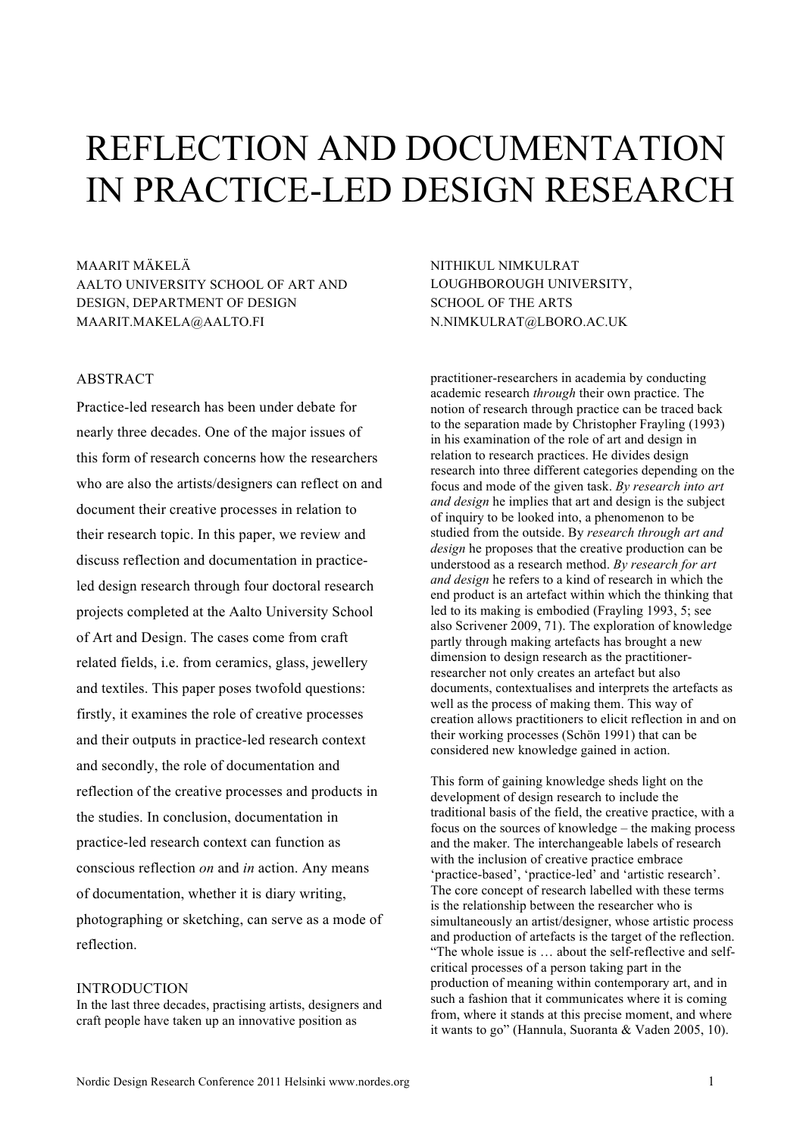# REFLECTION AND DOCUMENTATION IN PRACTICE-LED DESIGN RESEARCH

MAARIT MÄKELÄ AALTO UNIVERSITY SCHOOL OF ART AND DESIGN, DEPARTMENT OF DESIGN MAARIT.MAKELA@AALTO.FI

#### ABSTRACT

Practice-led research has been under debate for nearly three decades. One of the major issues of this form of research concerns how the researchers who are also the artists/designers can reflect on and document their creative processes in relation to their research topic. In this paper, we review and discuss reflection and documentation in practiceled design research through four doctoral research projects completed at the Aalto University School of Art and Design. The cases come from craft related fields, i.e. from ceramics, glass, jewellery and textiles. This paper poses twofold questions: firstly, it examines the role of creative processes and their outputs in practice-led research context and secondly, the role of documentation and reflection of the creative processes and products in the studies. In conclusion, documentation in practice-led research context can function as conscious reflection *on* and *in* action. Any means of documentation, whether it is diary writing, photographing or sketching, can serve as a mode of reflection.

#### INTRODUCTION

In the last three decades, practising artists, designers and craft people have taken up an innovative position as

NITHIKUL NIMKULRAT LOUGHBOROUGH UNIVERSITY, SCHOOL OF THE ARTS N.NIMKULRAT@LBORO.AC.UK

practitioner-researchers in academia by conducting academic research *through* their own practice. The notion of research through practice can be traced back to the separation made by Christopher Frayling (1993) in his examination of the role of art and design in relation to research practices. He divides design research into three different categories depending on the focus and mode of the given task. *By research into art and design* he implies that art and design is the subject of inquiry to be looked into, a phenomenon to be studied from the outside. By *research through art and design* he proposes that the creative production can be understood as a research method. *By research for art and design* he refers to a kind of research in which the end product is an artefact within which the thinking that led to its making is embodied (Frayling 1993, 5; see also Scrivener 2009, 71). The exploration of knowledge partly through making artefacts has brought a new dimension to design research as the practitionerresearcher not only creates an artefact but also documents, contextualises and interprets the artefacts as well as the process of making them. This way of creation allows practitioners to elicit reflection in and on their working processes (Schön 1991) that can be considered new knowledge gained in action.

This form of gaining knowledge sheds light on the development of design research to include the traditional basis of the field, the creative practice, with a focus on the sources of knowledge – the making process and the maker. The interchangeable labels of research with the inclusion of creative practice embrace 'practice-based', 'practice-led' and 'artistic research'. The core concept of research labelled with these terms is the relationship between the researcher who is simultaneously an artist/designer, whose artistic process and production of artefacts is the target of the reflection. "The whole issue is … about the self-reflective and selfcritical processes of a person taking part in the production of meaning within contemporary art, and in such a fashion that it communicates where it is coming from, where it stands at this precise moment, and where it wants to go" (Hannula, Suoranta & Vaden 2005, 10).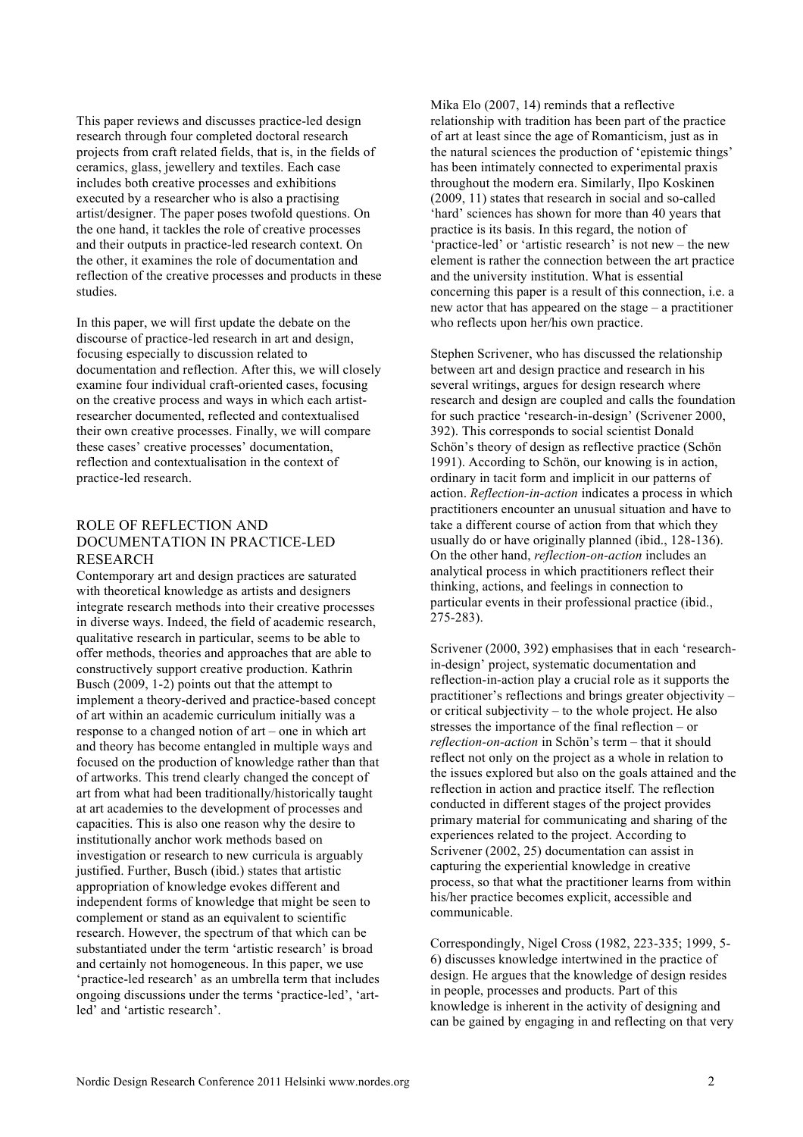This paper reviews and discusses practice-led design research through four completed doctoral research projects from craft related fields, that is, in the fields of ceramics, glass, jewellery and textiles. Each case includes both creative processes and exhibitions executed by a researcher who is also a practising artist/designer. The paper poses twofold questions. On the one hand, it tackles the role of creative processes and their outputs in practice-led research context. On the other, it examines the role of documentation and reflection of the creative processes and products in these studies.

In this paper, we will first update the debate on the discourse of practice-led research in art and design, focusing especially to discussion related to documentation and reflection. After this, we will closely examine four individual craft-oriented cases, focusing on the creative process and ways in which each artistresearcher documented, reflected and contextualised their own creative processes. Finally, we will compare these cases' creative processes' documentation, reflection and contextualisation in the context of practice-led research.

## ROLE OF REFLECTION AND DOCUMENTATION IN PRACTICE-LED **RESEARCH**

Contemporary art and design practices are saturated with theoretical knowledge as artists and designers integrate research methods into their creative processes in diverse ways. Indeed, the field of academic research, qualitative research in particular, seems to be able to offer methods, theories and approaches that are able to constructively support creative production. Kathrin Busch (2009, 1-2) points out that the attempt to implement a theory-derived and practice-based concept of art within an academic curriculum initially was a response to a changed notion of art – one in which art and theory has become entangled in multiple ways and focused on the production of knowledge rather than that of artworks. This trend clearly changed the concept of art from what had been traditionally/historically taught at art academies to the development of processes and capacities. This is also one reason why the desire to institutionally anchor work methods based on investigation or research to new curricula is arguably justified. Further, Busch (ibid.) states that artistic appropriation of knowledge evokes different and independent forms of knowledge that might be seen to complement or stand as an equivalent to scientific research. However, the spectrum of that which can be substantiated under the term 'artistic research' is broad and certainly not homogeneous. In this paper, we use 'practice-led research' as an umbrella term that includes ongoing discussions under the terms 'practice-led', 'artled' and 'artistic research'.

Mika Elo (2007, 14) reminds that a reflective relationship with tradition has been part of the practice of art at least since the age of Romanticism, just as in the natural sciences the production of 'epistemic things' has been intimately connected to experimental praxis throughout the modern era. Similarly, Ilpo Koskinen (2009, 11) states that research in social and so-called 'hard' sciences has shown for more than 40 years that practice is its basis. In this regard, the notion of 'practice-led' or 'artistic research' is not new – the new element is rather the connection between the art practice and the university institution. What is essential concerning this paper is a result of this connection, i.e. a new actor that has appeared on the stage – a practitioner who reflects upon her/his own practice.

Stephen Scrivener, who has discussed the relationship between art and design practice and research in his several writings, argues for design research where research and design are coupled and calls the foundation for such practice 'research-in-design' (Scrivener 2000, 392). This corresponds to social scientist Donald Schön's theory of design as reflective practice (Schön 1991). According to Schön, our knowing is in action, ordinary in tacit form and implicit in our patterns of action. *Reflection-in-action* indicates a process in which practitioners encounter an unusual situation and have to take a different course of action from that which they usually do or have originally planned (ibid., 128-136). On the other hand, *reflection-on-action* includes an analytical process in which practitioners reflect their thinking, actions, and feelings in connection to particular events in their professional practice (ibid., 275-283).

Scrivener (2000, 392) emphasises that in each 'researchin-design' project, systematic documentation and reflection-in-action play a crucial role as it supports the practitioner's reflections and brings greater objectivity – or critical subjectivity – to the whole project. He also stresses the importance of the final reflection – or *reflection-on-action* in Schön's term – that it should reflect not only on the project as a whole in relation to the issues explored but also on the goals attained and the reflection in action and practice itself. The reflection conducted in different stages of the project provides primary material for communicating and sharing of the experiences related to the project. According to Scrivener (2002, 25) documentation can assist in capturing the experiential knowledge in creative process, so that what the practitioner learns from within his/her practice becomes explicit, accessible and communicable.

Correspondingly, Nigel Cross (1982, 223-335; 1999, 5- 6) discusses knowledge intertwined in the practice of design. He argues that the knowledge of design resides in people, processes and products. Part of this knowledge is inherent in the activity of designing and can be gained by engaging in and reflecting on that very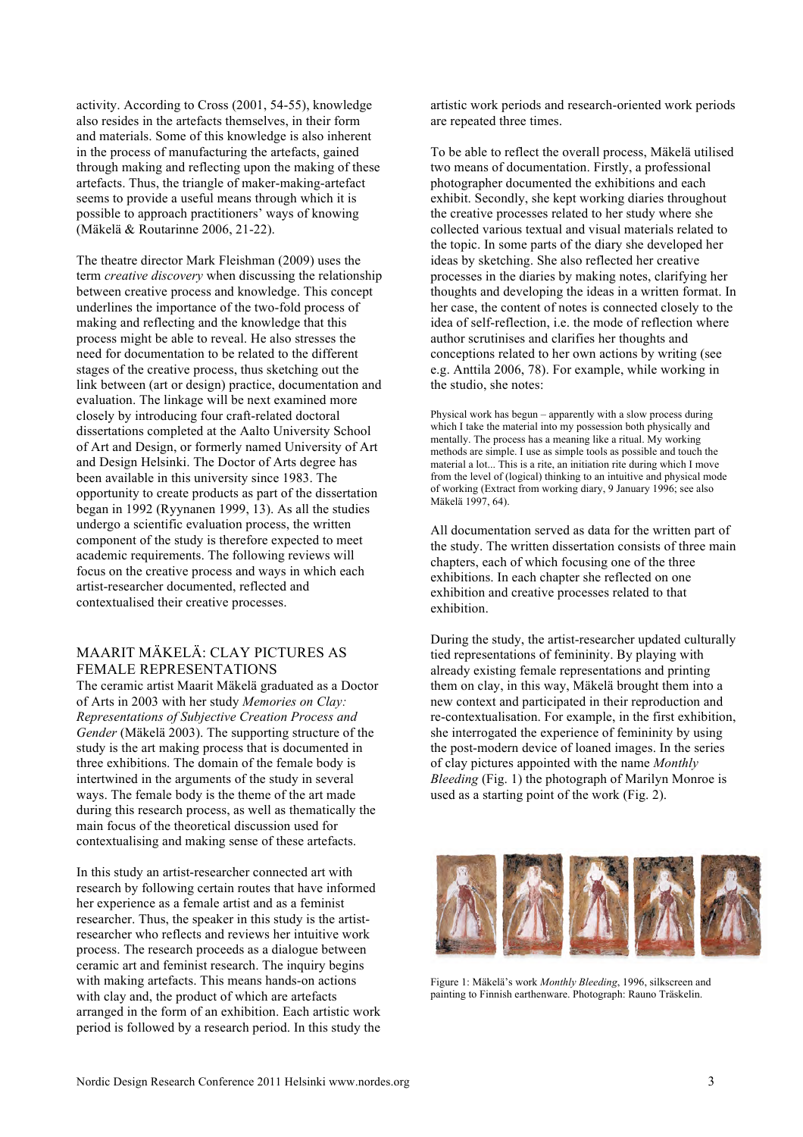activity. According to Cross (2001, 54-55), knowledge also resides in the artefacts themselves, in their form and materials. Some of this knowledge is also inherent in the process of manufacturing the artefacts, gained through making and reflecting upon the making of these artefacts. Thus, the triangle of maker-making-artefact seems to provide a useful means through which it is possible to approach practitioners' ways of knowing (Mäkelä & Routarinne 2006, 21-22).

The theatre director Mark Fleishman (2009) uses the term *creative discovery* when discussing the relationship between creative process and knowledge. This concept underlines the importance of the two-fold process of making and reflecting and the knowledge that this process might be able to reveal. He also stresses the need for documentation to be related to the different stages of the creative process, thus sketching out the link between (art or design) practice, documentation and evaluation. The linkage will be next examined more closely by introducing four craft-related doctoral dissertations completed at the Aalto University School of Art and Design, or formerly named University of Art and Design Helsinki. The Doctor of Arts degree has been available in this university since 1983. The opportunity to create products as part of the dissertation began in 1992 (Ryynanen 1999, 13). As all the studies undergo a scientific evaluation process, the written component of the study is therefore expected to meet academic requirements. The following reviews will focus on the creative process and ways in which each artist-researcher documented, reflected and contextualised their creative processes.

## MAARIT MÄKELÄ: CLAY PICTURES AS FEMALE REPRESENTATIONS

The ceramic artist Maarit Mäkelä graduated as a Doctor of Arts in 2003 with her study *Memories on Clay: Representations of Subjective Creation Process and Gender* (Mäkelä 2003). The supporting structure of the study is the art making process that is documented in three exhibitions. The domain of the female body is intertwined in the arguments of the study in several ways. The female body is the theme of the art made during this research process, as well as thematically the main focus of the theoretical discussion used for contextualising and making sense of these artefacts.

In this study an artist-researcher connected art with research by following certain routes that have informed her experience as a female artist and as a feminist researcher. Thus, the speaker in this study is the artistresearcher who reflects and reviews her intuitive work process. The research proceeds as a dialogue between ceramic art and feminist research. The inquiry begins with making artefacts. This means hands-on actions with clay and, the product of which are artefacts arranged in the form of an exhibition. Each artistic work period is followed by a research period. In this study the artistic work periods and research-oriented work periods are repeated three times.

To be able to reflect the overall process, Mäkelä utilised two means of documentation. Firstly, a professional photographer documented the exhibitions and each exhibit. Secondly, she kept working diaries throughout the creative processes related to her study where she collected various textual and visual materials related to the topic. In some parts of the diary she developed her ideas by sketching. She also reflected her creative processes in the diaries by making notes, clarifying her thoughts and developing the ideas in a written format. In her case, the content of notes is connected closely to the idea of self-reflection, i.e. the mode of reflection where author scrutinises and clarifies her thoughts and conceptions related to her own actions by writing (see e.g. Anttila 2006, 78). For example, while working in the studio, she notes:

Physical work has begun – apparently with a slow process during which I take the material into my possession both physically and mentally. The process has a meaning like a ritual. My working methods are simple. I use as simple tools as possible and touch the material a lot... This is a rite, an initiation rite during which I move from the level of (logical) thinking to an intuitive and physical mode of working (Extract from working diary, 9 January 1996; see also Mäkelä 1997, 64).

All documentation served as data for the written part of the study. The written dissertation consists of three main chapters, each of which focusing one of the three exhibitions. In each chapter she reflected on one exhibition and creative processes related to that exhibition.

During the study, the artist-researcher updated culturally tied representations of femininity. By playing with already existing female representations and printing them on clay, in this way, Mäkelä brought them into a new context and participated in their reproduction and re-contextualisation. For example, in the first exhibition, she interrogated the experience of femininity by using the post-modern device of loaned images. In the series of clay pictures appointed with the name *Monthly Bleeding* (Fig. 1) the photograph of Marilyn Monroe is used as a starting point of the work (Fig. 2).



Figure 1: Mäkelä's work *Monthly Bleeding*, 1996, silkscreen and painting to Finnish earthenware. Photograph: Rauno Träskelin.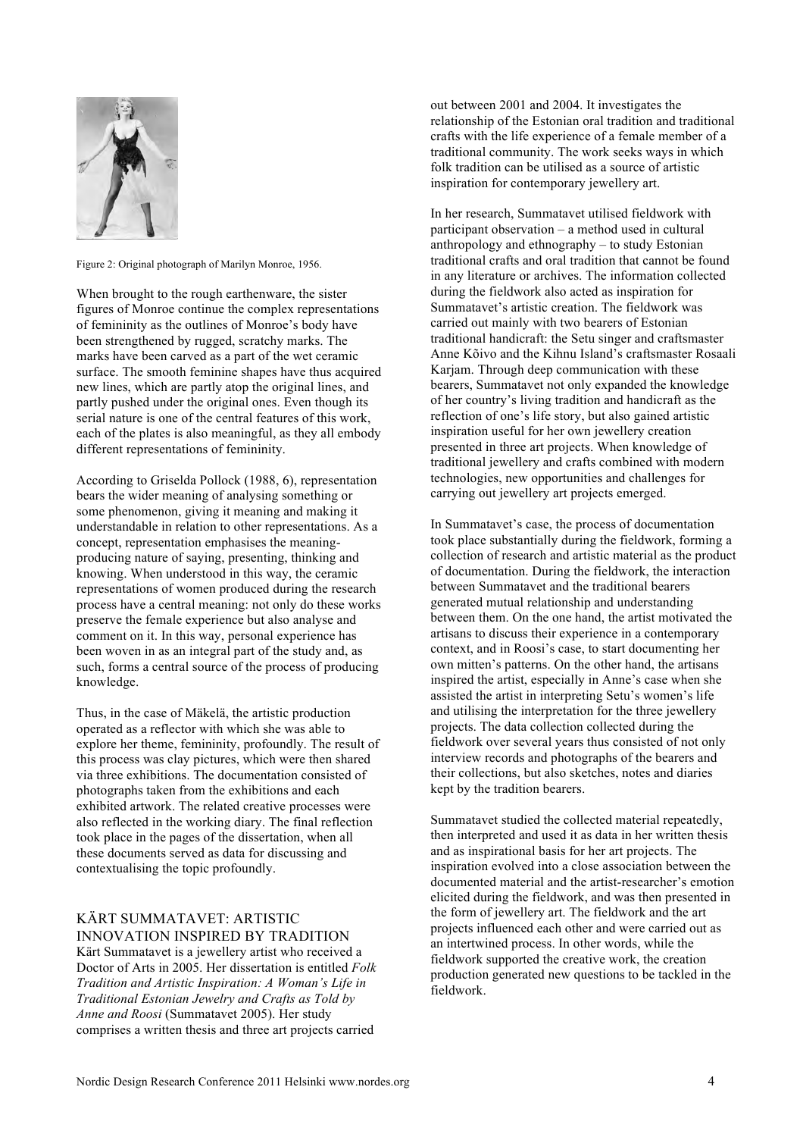

Figure 2: Original photograph of Marilyn Monroe, 1956.

When brought to the rough earthenware, the sister figures of Monroe continue the complex representations of femininity as the outlines of Monroe's body have been strengthened by rugged, scratchy marks. The marks have been carved as a part of the wet ceramic surface. The smooth feminine shapes have thus acquired new lines, which are partly atop the original lines, and partly pushed under the original ones. Even though its serial nature is one of the central features of this work, each of the plates is also meaningful, as they all embody different representations of femininity.

According to Griselda Pollock (1988, 6), representation bears the wider meaning of analysing something or some phenomenon, giving it meaning and making it understandable in relation to other representations. As a concept, representation emphasises the meaningproducing nature of saying, presenting, thinking and knowing. When understood in this way, the ceramic representations of women produced during the research process have a central meaning: not only do these works preserve the female experience but also analyse and comment on it. In this way, personal experience has been woven in as an integral part of the study and, as such, forms a central source of the process of producing knowledge.

Thus, in the case of Mäkelä, the artistic production operated as a reflector with which she was able to explore her theme, femininity, profoundly. The result of this process was clay pictures, which were then shared via three exhibitions. The documentation consisted of photographs taken from the exhibitions and each exhibited artwork. The related creative processes were also reflected in the working diary. The final reflection took place in the pages of the dissertation, when all these documents served as data for discussing and contextualising the topic profoundly.

# KÄRT SUMMATAVET: ARTISTIC INNOVATION INSPIRED BY TRADITION

Kärt Summatavet is a jewellery artist who received a Doctor of Arts in 2005. Her dissertation is entitled *Folk Tradition and Artistic Inspiration: A Woman's Life in Traditional Estonian Jewelry and Crafts as Told by Anne and Roosi* (Summatavet 2005). Her study comprises a written thesis and three art projects carried

out between 2001 and 2004. It investigates the relationship of the Estonian oral tradition and traditional crafts with the life experience of a female member of a traditional community. The work seeks ways in which folk tradition can be utilised as a source of artistic inspiration for contemporary jewellery art.

In her research, Summatavet utilised fieldwork with participant observation – a method used in cultural anthropology and ethnography – to study Estonian traditional crafts and oral tradition that cannot be found in any literature or archives. The information collected during the fieldwork also acted as inspiration for Summatavet's artistic creation. The fieldwork was carried out mainly with two bearers of Estonian traditional handicraft: the Setu singer and craftsmaster Anne Kõivo and the Kihnu Island's craftsmaster Rosaali Karjam. Through deep communication with these bearers, Summatavet not only expanded the knowledge of her country's living tradition and handicraft as the reflection of one's life story, but also gained artistic inspiration useful for her own jewellery creation presented in three art projects. When knowledge of traditional jewellery and crafts combined with modern technologies, new opportunities and challenges for carrying out jewellery art projects emerged.

In Summatavet's case, the process of documentation took place substantially during the fieldwork, forming a collection of research and artistic material as the product of documentation. During the fieldwork, the interaction between Summatavet and the traditional bearers generated mutual relationship and understanding between them. On the one hand, the artist motivated the artisans to discuss their experience in a contemporary context, and in Roosi's case, to start documenting her own mitten's patterns. On the other hand, the artisans inspired the artist, especially in Anne's case when she assisted the artist in interpreting Setu's women's life and utilising the interpretation for the three jewellery projects. The data collection collected during the fieldwork over several years thus consisted of not only interview records and photographs of the bearers and their collections, but also sketches, notes and diaries kept by the tradition bearers.

Summatavet studied the collected material repeatedly, then interpreted and used it as data in her written thesis and as inspirational basis for her art projects. The inspiration evolved into a close association between the documented material and the artist-researcher's emotion elicited during the fieldwork, and was then presented in the form of jewellery art. The fieldwork and the art projects influenced each other and were carried out as an intertwined process. In other words, while the fieldwork supported the creative work, the creation production generated new questions to be tackled in the fieldwork.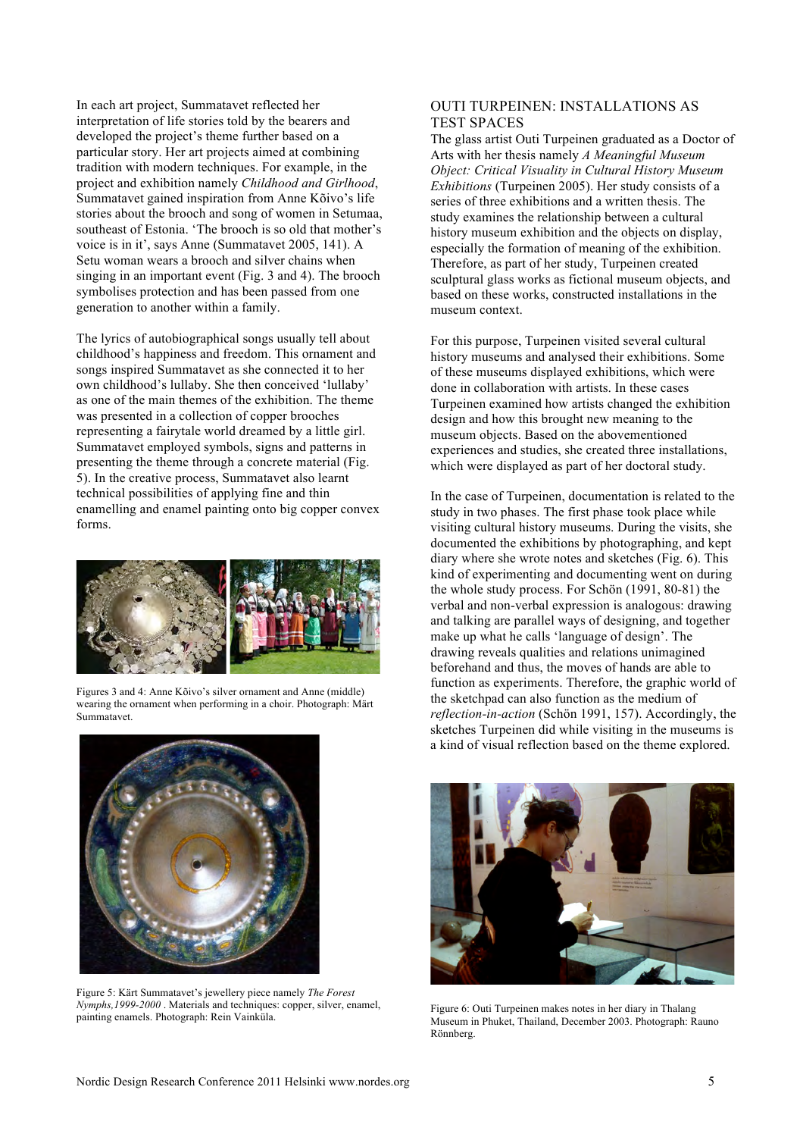In each art project, Summatavet reflected her interpretation of life stories told by the bearers and developed the project's theme further based on a particular story. Her art projects aimed at combining tradition with modern techniques. For example, in the project and exhibition namely *Childhood and Girlhood*, Summatavet gained inspiration from Anne Kõivo's life stories about the brooch and song of women in Setumaa, southeast of Estonia. 'The brooch is so old that mother's voice is in it', says Anne (Summatavet 2005, 141). A Setu woman wears a brooch and silver chains when singing in an important event (Fig. 3 and 4). The brooch symbolises protection and has been passed from one generation to another within a family.

The lyrics of autobiographical songs usually tell about childhood's happiness and freedom. This ornament and songs inspired Summatavet as she connected it to her own childhood's lullaby. She then conceived 'lullaby' as one of the main themes of the exhibition. The theme was presented in a collection of copper brooches representing a fairytale world dreamed by a little girl. Summatavet employed symbols, signs and patterns in presenting the theme through a concrete material (Fig. 5). In the creative process, Summatavet also learnt technical possibilities of applying fine and thin enamelling and enamel painting onto big copper convex forms.



Figures 3 and 4: Anne Kõivo's silver ornament and Anne (middle) wearing the ornament when performing in a choir. Photograph: Märt Summatavet.



Figure 5: Kärt Summatavet's jewellery piece namely *The Forest Nymphs,1999-2000* . Materials and techniques: copper, silver, enamel, painting enamels. Photograph: Rein Vainküla.

### OUTI TURPEINEN: INSTALLATIONS AS TEST SPACES

The glass artist Outi Turpeinen graduated as a Doctor of Arts with her thesis namely *A Meaningful Museum Object: Critical Visuality in Cultural History Museum Exhibitions* (Turpeinen 2005). Her study consists of a series of three exhibitions and a written thesis. The study examines the relationship between a cultural history museum exhibition and the objects on display, especially the formation of meaning of the exhibition. Therefore, as part of her study, Turpeinen created sculptural glass works as fictional museum objects, and based on these works, constructed installations in the museum context.

For this purpose, Turpeinen visited several cultural history museums and analysed their exhibitions. Some of these museums displayed exhibitions, which were done in collaboration with artists. In these cases Turpeinen examined how artists changed the exhibition design and how this brought new meaning to the museum objects. Based on the abovementioned experiences and studies, she created three installations, which were displayed as part of her doctoral study.

In the case of Turpeinen, documentation is related to the study in two phases. The first phase took place while visiting cultural history museums. During the visits, she documented the exhibitions by photographing, and kept diary where she wrote notes and sketches (Fig. 6). This kind of experimenting and documenting went on during the whole study process. For Schön (1991, 80-81) the verbal and non-verbal expression is analogous: drawing and talking are parallel ways of designing, and together make up what he calls 'language of design'. The drawing reveals qualities and relations unimagined beforehand and thus, the moves of hands are able to function as experiments. Therefore, the graphic world of the sketchpad can also function as the medium of *reflection-in-action* (Schön 1991, 157). Accordingly, the sketches Turpeinen did while visiting in the museums is a kind of visual reflection based on the theme explored.



Figure 6: Outi Turpeinen makes notes in her diary in Thalang Museum in Phuket, Thailand, December 2003. Photograph: Rauno Rönnberg.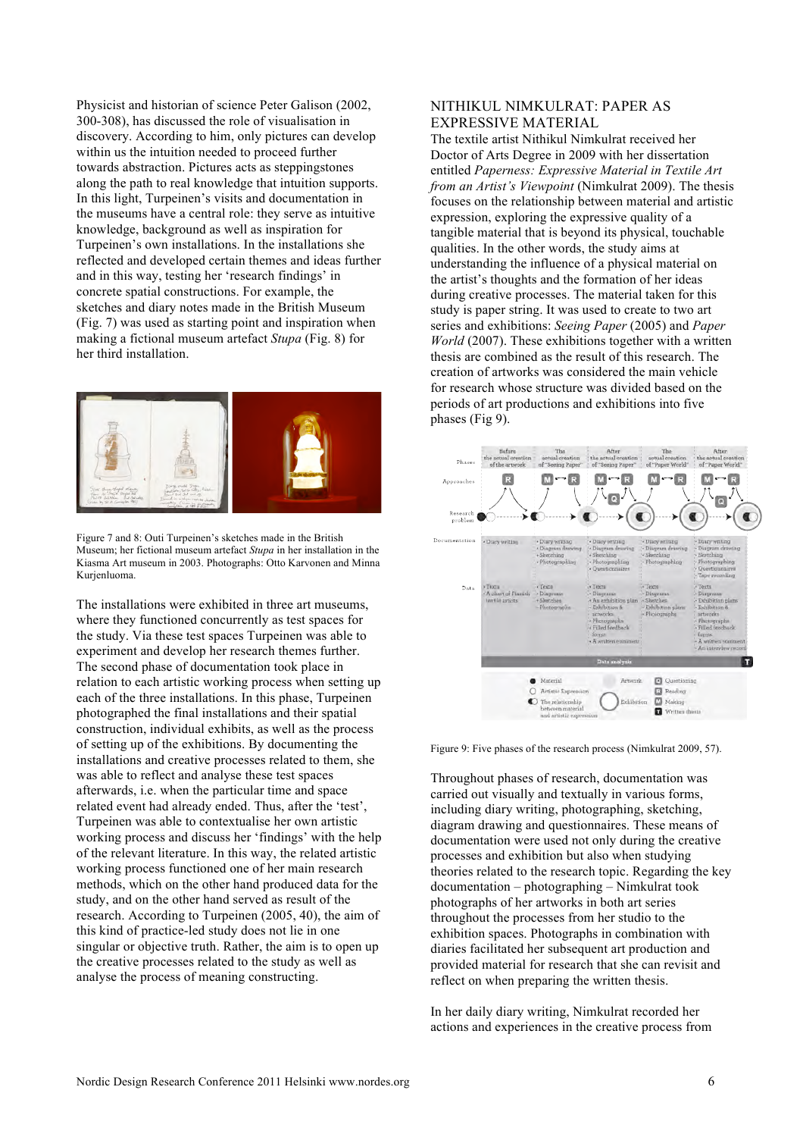Physicist and historian of science Peter Galison (2002, 300-308), has discussed the role of visualisation in discovery. According to him, only pictures can develop within us the intuition needed to proceed further towards abstraction. Pictures acts as steppingstones along the path to real knowledge that intuition supports. In this light, Turpeinen's visits and documentation in the museums have a central role: they serve as intuitive knowledge, background as well as inspiration for Turpeinen's own installations. In the installations she reflected and developed certain themes and ideas further and in this way, testing her 'research findings' in concrete spatial constructions. For example, the sketches and diary notes made in the British Museum (Fig. 7) was used as starting point and inspiration when making a fictional museum artefact *Stupa* (Fig. 8) for her third installation.



Figure 7 and 8: Outi Turpeinen's sketches made in the British Museum; her fictional museum artefact *Stupa* in her installation in the Kiasma Art museum in 2003. Photographs: Otto Karvonen and Minna Kurjenluoma.

The installations were exhibited in three art museums, where they functioned concurrently as test spaces for the study. Via these test spaces Turpeinen was able to experiment and develop her research themes further. The second phase of documentation took place in relation to each artistic working process when setting up each of the three installations. In this phase, Turpeinen photographed the final installations and their spatial construction, individual exhibits, as well as the process of setting up of the exhibitions. By documenting the installations and creative processes related to them, she was able to reflect and analyse these test spaces afterwards, i.e. when the particular time and space related event had already ended. Thus, after the 'test', Turpeinen was able to contextualise her own artistic working process and discuss her 'findings' with the help of the relevant literature. In this way, the related artistic working process functioned one of her main research methods, which on the other hand produced data for the study, and on the other hand served as result of the research. According to Turpeinen (2005, 40), the aim of this kind of practice-led study does not lie in one singular or objective truth. Rather, the aim is to open up the creative processes related to the study as well as analyse the process of meaning constructing.

# NITHIKUL NIMKULRAT: PAPER AS EXPRESSIVE MATERIAL

The textile artist Nithikul Nimkulrat received her Doctor of Arts Degree in 2009 with her dissertation entitled *Paperness: Expressive Material in Textile Art from an Artist's Viewpoint* (Nimkulrat 2009). The thesis focuses on the relationship between material and artistic expression, exploring the expressive quality of a tangible material that is beyond its physical, touchable qualities. In the other words, the study aims at understanding the influence of a physical material on the artist's thoughts and the formation of her ideas during creative processes. The material taken for this study is paper string. It was used to create to two art series and exhibitions: *Seeing Paper* (2005) and *Paper World* (2007). These exhibitions together with a written thesis are combined as the result of this research. The creation of artworks was considered the main vehicle for research whose structure was divided based on the periods of art productions and exhibitions into five phases (Fig 9).



Figure 9: Five phases of the research process (Nimkulrat 2009, 57).

Throughout phases of research, documentation was carried out visually and textually in various forms, including diary writing, photographing, sketching, diagram drawing and questionnaires. These means of documentation were used not only during the creative processes and exhibition but also when studying theories related to the research topic. Regarding the key documentation – photographing – Nimkulrat took photographs of her artworks in both art series throughout the processes from her studio to the exhibition spaces. Photographs in combination with diaries facilitated her subsequent art production and provided material for research that she can revisit and reflect on when preparing the written thesis.

In her daily diary writing, Nimkulrat recorded her actions and experiences in the creative process from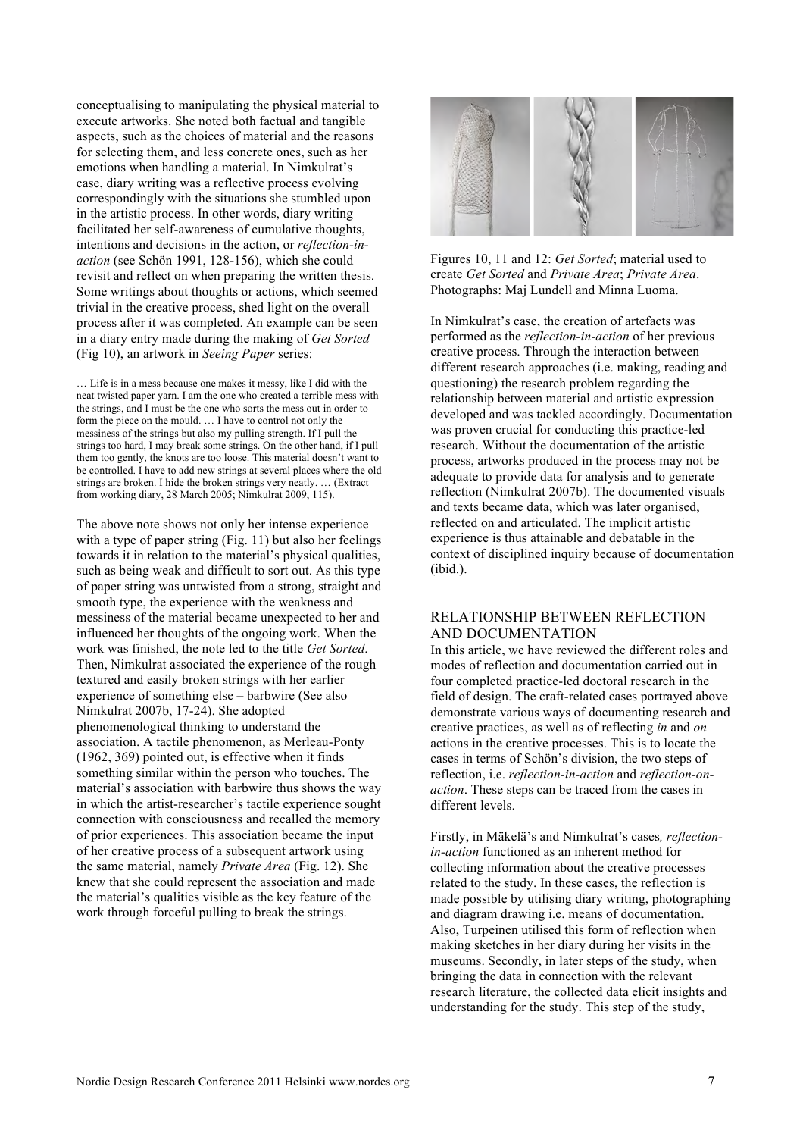conceptualising to manipulating the physical material to execute artworks. She noted both factual and tangible aspects, such as the choices of material and the reasons for selecting them, and less concrete ones, such as her emotions when handling a material. In Nimkulrat's case, diary writing was a reflective process evolving correspondingly with the situations she stumbled upon in the artistic process. In other words, diary writing facilitated her self-awareness of cumulative thoughts, intentions and decisions in the action, or *reflection-inaction* (see Schön 1991, 128-156), which she could revisit and reflect on when preparing the written thesis. Some writings about thoughts or actions, which seemed trivial in the creative process, shed light on the overall process after it was completed. An example can be seen in a diary entry made during the making of *Get Sorted* (Fig 10), an artwork in *Seeing Paper* series:

… Life is in a mess because one makes it messy, like I did with the neat twisted paper yarn. I am the one who created a terrible mess with the strings, and I must be the one who sorts the mess out in order to form the piece on the mould. … I have to control not only the messiness of the strings but also my pulling strength. If I pull the strings too hard, I may break some strings. On the other hand, if I pull them too gently, the knots are too loose. This material doesn't want to be controlled. I have to add new strings at several places where the old strings are broken. I hide the broken strings very neatly. … (Extract from working diary, 28 March 2005; Nimkulrat 2009, 115).

The above note shows not only her intense experience with a type of paper string (Fig. 11) but also her feelings towards it in relation to the material's physical qualities, such as being weak and difficult to sort out. As this type of paper string was untwisted from a strong, straight and smooth type, the experience with the weakness and messiness of the material became unexpected to her and influenced her thoughts of the ongoing work. When the work was finished, the note led to the title *Get Sorted*. Then, Nimkulrat associated the experience of the rough textured and easily broken strings with her earlier experience of something else – barbwire (See also Nimkulrat 2007b, 17-24). She adopted phenomenological thinking to understand the association. A tactile phenomenon, as Merleau-Ponty (1962, 369) pointed out, is effective when it finds something similar within the person who touches. The material's association with barbwire thus shows the way in which the artist-researcher's tactile experience sought connection with consciousness and recalled the memory of prior experiences. This association became the input of her creative process of a subsequent artwork using the same material, namely *Private Area* (Fig. 12). She knew that she could represent the association and made the material's qualities visible as the key feature of the work through forceful pulling to break the strings.



Figures 10, 11 and 12: *Get Sorted*; material used to create *Get Sorted* and *Private Area*; *Private Area*. Photographs: Maj Lundell and Minna Luoma.

In Nimkulrat's case, the creation of artefacts was performed as the *reflection-in-action* of her previous creative process. Through the interaction between different research approaches (i.e. making, reading and questioning) the research problem regarding the relationship between material and artistic expression developed and was tackled accordingly. Documentation was proven crucial for conducting this practice-led research. Without the documentation of the artistic process, artworks produced in the process may not be adequate to provide data for analysis and to generate reflection (Nimkulrat 2007b). The documented visuals and texts became data, which was later organised, reflected on and articulated. The implicit artistic experience is thus attainable and debatable in the context of disciplined inquiry because of documentation (ibid.).

#### RELATIONSHIP BETWEEN REFLECTION AND DOCUMENTATION

In this article, we have reviewed the different roles and modes of reflection and documentation carried out in four completed practice-led doctoral research in the field of design. The craft-related cases portrayed above demonstrate various ways of documenting research and creative practices, as well as of reflecting *in* and *on* actions in the creative processes. This is to locate the cases in terms of Schön's division, the two steps of reflection, i.e. *reflection-in-action* and *reflection-onaction*. These steps can be traced from the cases in different levels.

Firstly, in Mäkelä's and Nimkulrat's cases*, reflectionin-action* functioned as an inherent method for collecting information about the creative processes related to the study. In these cases, the reflection is made possible by utilising diary writing, photographing and diagram drawing i.e. means of documentation. Also, Turpeinen utilised this form of reflection when making sketches in her diary during her visits in the museums. Secondly, in later steps of the study, when bringing the data in connection with the relevant research literature, the collected data elicit insights and understanding for the study. This step of the study,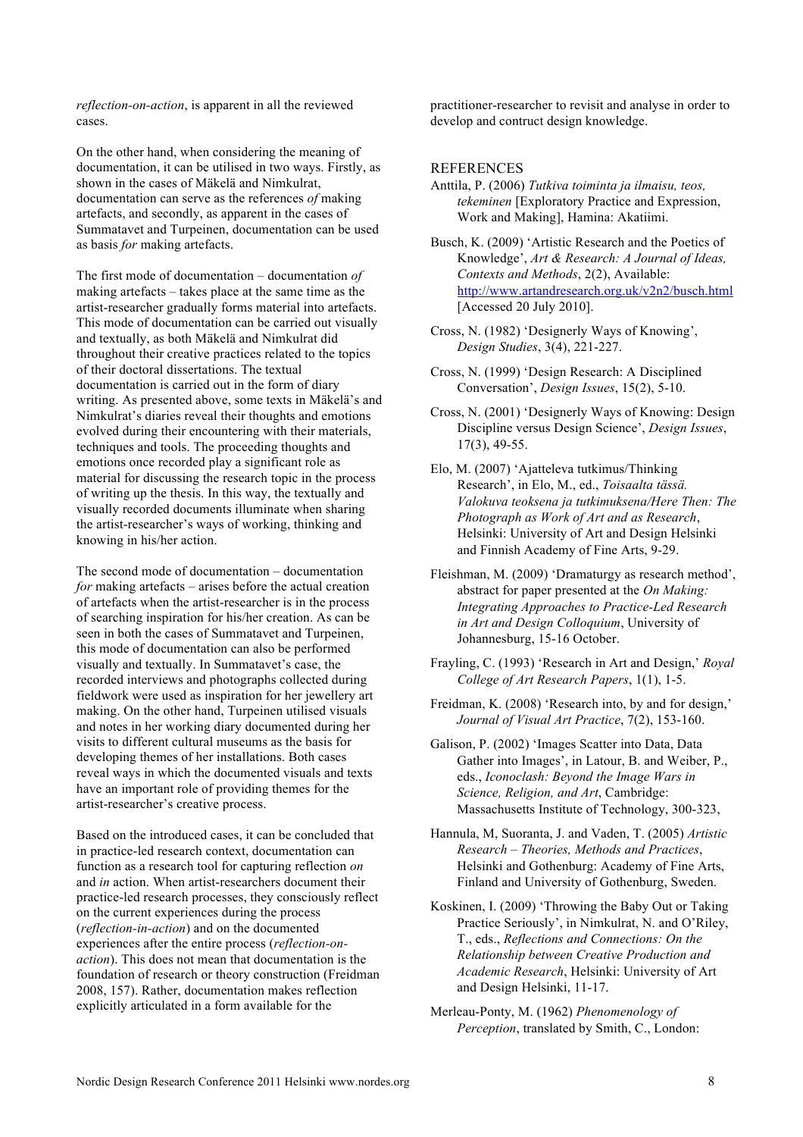*reflection-on-action*, is apparent in all the reviewed cases.

On the other hand, when considering the meaning of documentation, it can be utilised in two ways. Firstly, as shown in the cases of Mäkelä and Nimkulrat, documentation can serve as the references *of* making artefacts, and secondly, as apparent in the cases of Summatavet and Turpeinen, documentation can be used as basis *for* making artefacts.

The first mode of documentation – documentation *of* making artefacts – takes place at the same time as the artist-researcher gradually forms material into artefacts. This mode of documentation can be carried out visually and textually, as both Mäkelä and Nimkulrat did throughout their creative practices related to the topics of their doctoral dissertations. The textual documentation is carried out in the form of diary writing. As presented above, some texts in Mäkelä's and Nimkulrat's diaries reveal their thoughts and emotions evolved during their encountering with their materials, techniques and tools. The proceeding thoughts and emotions once recorded play a significant role as material for discussing the research topic in the process of writing up the thesis. In this way, the textually and visually recorded documents illuminate when sharing the artist-researcher's ways of working, thinking and knowing in his/her action.

The second mode of documentation – documentation *for* making artefacts – arises before the actual creation of artefacts when the artist-researcher is in the process of searching inspiration for his/her creation. As can be seen in both the cases of Summatavet and Turpeinen, this mode of documentation can also be performed visually and textually. In Summatavet's case, the recorded interviews and photographs collected during fieldwork were used as inspiration for her jewellery art making. On the other hand, Turpeinen utilised visuals and notes in her working diary documented during her visits to different cultural museums as the basis for developing themes of her installations. Both cases reveal ways in which the documented visuals and texts have an important role of providing themes for the artist-researcher's creative process.

Based on the introduced cases, it can be concluded that in practice-led research context, documentation can function as a research tool for capturing reflection *on* and *in* action. When artist-researchers document their practice-led research processes, they consciously reflect on the current experiences during the process (*reflection-in-action*) and on the documented experiences after the entire process (*reflection-onaction*). This does not mean that documentation is the foundation of research or theory construction (Freidman 2008, 157). Rather, documentation makes reflection explicitly articulated in a form available for the

practitioner-researcher to revisit and analyse in order to develop and contruct design knowledge.

#### **REFERENCES**

- Anttila, P. (2006) *Tutkiva toiminta ja ilmaisu, teos, tekeminen* [Exploratory Practice and Expression, Work and Making], Hamina: Akatiimi.
- Busch, K. (2009) 'Artistic Research and the Poetics of Knowledge', *Art & Research: A Journal of Ideas, Contexts and Methods*, 2(2), Available: http://www.artandresearch.org.uk/v2n2/busch.html [Accessed 20 July 2010].
- Cross, N. (1982) 'Designerly Ways of Knowing', *Design Studies*, 3(4), 221-227.
- Cross, N. (1999) 'Design Research: A Disciplined Conversation', *Design Issues*, 15(2), 5-10.
- Cross, N. (2001) 'Designerly Ways of Knowing: Design Discipline versus Design Science', *Design Issues*, 17(3), 49-55.
- Elo, M. (2007) 'Ajatteleva tutkimus/Thinking Research', in Elo, M., ed., *Toisaalta tässä. Valokuva teoksena ja tutkimuksena/Here Then: The Photograph as Work of Art and as Research*, Helsinki: University of Art and Design Helsinki and Finnish Academy of Fine Arts, 9-29.
- Fleishman, M. (2009) 'Dramaturgy as research method', abstract for paper presented at the *On Making: Integrating Approaches to Practice-Led Research in Art and Design Colloquium*, University of Johannesburg, 15-16 October.
- Frayling, C. (1993) 'Research in Art and Design,' *Royal College of Art Research Papers*, 1(1), 1-5.
- Freidman, K. (2008) 'Research into, by and for design,' *Journal of Visual Art Practice*, 7(2), 153-160.
- Galison, P. (2002) 'Images Scatter into Data, Data Gather into Images', in Latour, B. and Weiber, P., eds., *Iconoclash: Beyond the Image Wars in Science, Religion, and Art*, Cambridge: Massachusetts Institute of Technology, 300-323,
- Hannula, M, Suoranta, J. and Vaden, T. (2005) *Artistic Research – Theories, Methods and Practices*, Helsinki and Gothenburg: Academy of Fine Arts, Finland and University of Gothenburg, Sweden.
- Koskinen, I. (2009) 'Throwing the Baby Out or Taking Practice Seriously', in Nimkulrat, N. and O'Riley, T., eds., *Reflections and Connections: On the Relationship between Creative Production and Academic Research*, Helsinki: University of Art and Design Helsinki, 11-17.
- Merleau-Ponty, M. (1962) *Phenomenology of Perception*, translated by Smith, C., London: